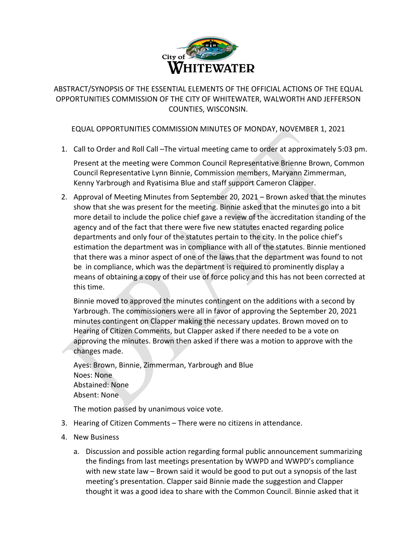

ABSTRACT/SYNOPSIS OF THE ESSENTIAL ELEMENTS OF THE OFFICIAL ACTIONS OF THE EQUAL OPPORTUNITIES COMMISSION OF THE CITY OF WHITEWATER, WALWORTH AND JEFFERSON COUNTIES, WISCONSIN.

## EQUAL OPPORTUNITIES COMMISSION MINUTES OF MONDAY, NOVEMBER 1, 2021

1. Call to Order and Roll Call –The virtual meeting came to order at approximately 5:03 pm.

Present at the meeting were Common Council Representative Brienne Brown, Common Council Representative Lynn Binnie, Commission members, Maryann Zimmerman, Kenny Yarbrough and Ryatisima Blue and staff support Cameron Clapper.

2. Approval of Meeting Minutes from September 20, 2021 – Brown asked that the minutes show that she was present for the meeting. Binnie asked that the minutes go into a bit more detail to include the police chief gave a review of the accreditation standing of the agency and of the fact that there were five new statutes enacted regarding police departments and only four of the statutes pertain to the city. In the police chief's estimation the department was in compliance with all of the statutes. Binnie mentioned that there was a minor aspect of one of the laws that the department was found to not be in compliance, which was the department is required to prominently display a means of obtaining a copy of their use of force policy and this has not been corrected at this time.

Binnie moved to approved the minutes contingent on the additions with a second by Yarbrough. The commissioners were all in favor of approving the September 20, 2021 minutes contingent on Clapper making the necessary updates. Brown moved on to Hearing of Citizen Comments, but Clapper asked if there needed to be a vote on approving the minutes. Brown then asked if there was a motion to approve with the changes made.

Ayes: Brown, Binnie, Zimmerman, Yarbrough and Blue Noes: None Abstained: None Absent: None

The motion passed by unanimous voice vote.

- 3. Hearing of Citizen Comments There were no citizens in attendance.
- 4. New Business
	- a. Discussion and possible action regarding formal public announcement summarizing the findings from last meetings presentation by WWPD and WWPD's compliance with new state law – Brown said it would be good to put out a synopsis of the last meeting's presentation. Clapper said Binnie made the suggestion and Clapper thought it was a good idea to share with the Common Council. Binnie asked that it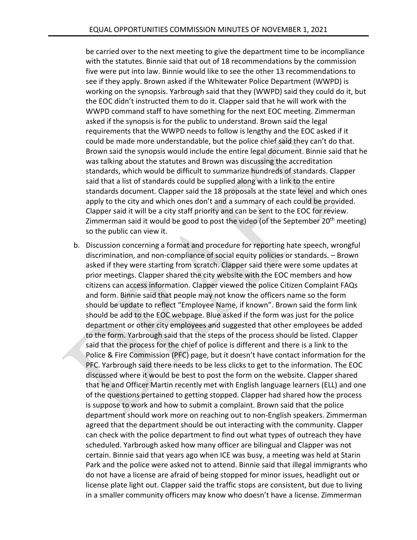be carried over to the next meeting to give the department time to be incompliance with the statutes. Binnie said that out of 18 recommendations by the commission five were put into law. Binnie would like to see the other 13 recommendations to see if they apply. Brown asked if the Whitewater Police Department (WWPD) is working on the synopsis. Yarbrough said that they (WWPD) said they could do it, but the EOC didn't instructed them to do it. Clapper said that he will work with the WWPD command staff to have something for the next EOC meeting. Zimmerman asked if the synopsis is for the public to understand. Brown said the legal requirements that the WWPD needs to follow is lengthy and the EOC asked if it could be made more understandable, but the police chief said they can't do that. Brown said the synopsis would include the entire legal document. Binnie said that he was talking about the statutes and Brown was discussing the accreditation standards, which would be difficult to summarize hundreds of standards. Clapper said that a list of standards could be supplied along with a link to the entire standards document. Clapper said the 18 proposals at the state level and which ones apply to the city and which ones don't and a summary of each could be provided. Clapper said it will be a city staff priority and can be sent to the EOC for review. Zimmerman said it would be good to post the video (of the September  $20<sup>th</sup>$  meeting) so the public can view it.

b. Discussion concerning a format and procedure for reporting hate speech, wrongful discrimination, and non‐compliance of social equity policies or standards. – Brown asked if they were starting from scratch. Clapper said there were some updates at prior meetings. Clapper shared the city website with the EOC members and how citizens can access information. Clapper viewed the police Citizen Complaint FAQs and form. Binnie said that people may not know the officers name so the form should be update to reflect "Employee Name, if known". Brown said the form link should be add to the EOC webpage. Blue asked if the form was just for the police department or other city employees and suggested that other employees be added to the form. Yarbrough said that the steps of the process should be listed. Clapper said that the process for the chief of police is different and there is a link to the Police & Fire Commission (PFC) page, but it doesn't have contact information for the PFC. Yarbrough said there needs to be less clicks to get to the information. The EOC discussed where it would be best to post the form on the website. Clapper shared that he and Officer Martin recently met with English language learners (ELL) and one of the questions pertained to getting stopped. Clapper had shared how the process is suppose to work and how to submit a complaint. Brown said that the police department should work more on reaching out to non‐English speakers. Zimmerman agreed that the department should be out interacting with the community. Clapper can check with the police department to find out what types of outreach they have scheduled. Yarbrough asked how many officer are bilingual and Clapper was not certain. Binnie said that years ago when ICE was busy, a meeting was held at Starin Park and the police were asked not to attend. Binnie said that illegal immigrants who do not have a license are afraid of being stopped for minor issues, headlight out or license plate light out. Clapper said the traffic stops are consistent, but due to living in a smaller community officers may know who doesn't have a license. Zimmerman